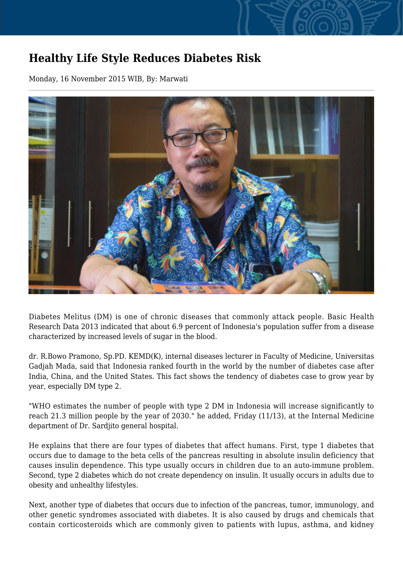## **Healthy Life Style Reduces Diabetes Risk**

Monday, 16 November 2015 WIB, By: Marwati



Diabetes Melitus (DM) is one of chronic diseases that commonly attack people. Basic Health Research Data 2013 indicated that about 6.9 percent of Indonesia's population suffer from a disease characterized by increased levels of sugar in the blood.

dr. R.Bowo Pramono, Sp.PD. KEMD(K), internal diseases lecturer in Faculty of Medicine, Universitas Gadjah Mada, said that Indonesia ranked fourth in the world by the number of diabetes case after India, China, and the United States. This fact shows the tendency of diabetes case to grow year by year, especially DM type 2.

"WHO estimates the number of people with type 2 DM in Indonesia will increase significantly to reach 21.3 million people by the year of 2030." he added, Friday (11/13), at the Internal Medicine department of Dr. Sardjito general hospital.

He explains that there are four types of diabetes that affect humans. First, type 1 diabetes that occurs due to damage to the beta cells of the pancreas resulting in absolute insulin deficiency that causes insulin dependence. This type usually occurs in children due to an auto-immune problem. Second, type 2 diabetes which do not create dependency on insulin. It usually occurs in adults due to obesity and unhealthy lifestyles.

Next, another type of diabetes that occurs due to infection of the pancreas, tumor, immunology, and other genetic syndromes associated with diabetes. It is also caused by drugs and chemicals that contain corticosteroids which are commonly given to patients with lupus, asthma, and kidney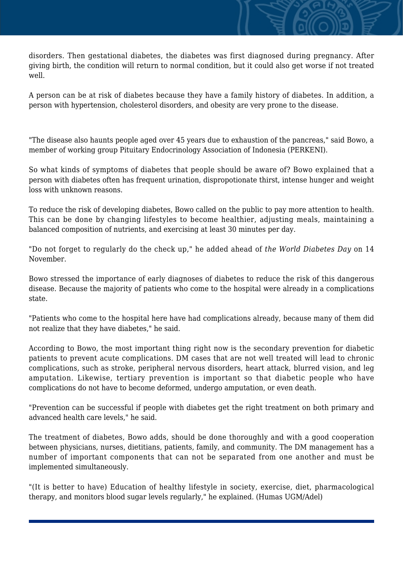disorders. Then gestational diabetes, the diabetes was first diagnosed during pregnancy. After giving birth, the condition will return to normal condition, but it could also get worse if not treated well.

A person can be at risk of diabetes because they have a family history of diabetes. In addition, a person with hypertension, cholesterol disorders, and obesity are very prone to the disease.

"The disease also haunts people aged over 45 years due to exhaustion of the pancreas," said Bowo, a member of working group Pituitary Endocrinology Association of Indonesia (PERKENI).

So what kinds of symptoms of diabetes that people should be aware of? Bowo explained that a person with diabetes often has frequent urination, dispropotionate thirst, intense hunger and weight loss with unknown reasons.

To reduce the risk of developing diabetes, Bowo called on the public to pay more attention to health. This can be done by changing lifestyles to become healthier, adjusting meals, maintaining a balanced composition of nutrients, and exercising at least 30 minutes per day.

"Do not forget to regularly do the check up," he added ahead of *the World Diabetes Day* on 14 November.

Bowo stressed the importance of early diagnoses of diabetes to reduce the risk of this dangerous disease. Because the majority of patients who come to the hospital were already in a complications state.

"Patients who come to the hospital here have had complications already, because many of them did not realize that they have diabetes," he said.

According to Bowo, the most important thing right now is the secondary prevention for diabetic patients to prevent acute complications. DM cases that are not well treated will lead to chronic complications, such as stroke, peripheral nervous disorders, heart attack, blurred vision, and leg amputation. Likewise, tertiary prevention is important so that diabetic people who have complications do not have to become deformed, undergo amputation, or even death.

"Prevention can be successful if people with diabetes get the right treatment on both primary and advanced health care levels," he said.

The treatment of diabetes, Bowo adds, should be done thoroughly and with a good cooperation between physicians, nurses, dietitians, patients, family, and community. The DM management has a number of important components that can not be separated from one another and must be implemented simultaneously.

"(It is better to have) Education of healthy lifestyle in society, exercise, diet, pharmacological therapy, and monitors blood sugar levels regularly," he explained. (Humas UGM/Adel)